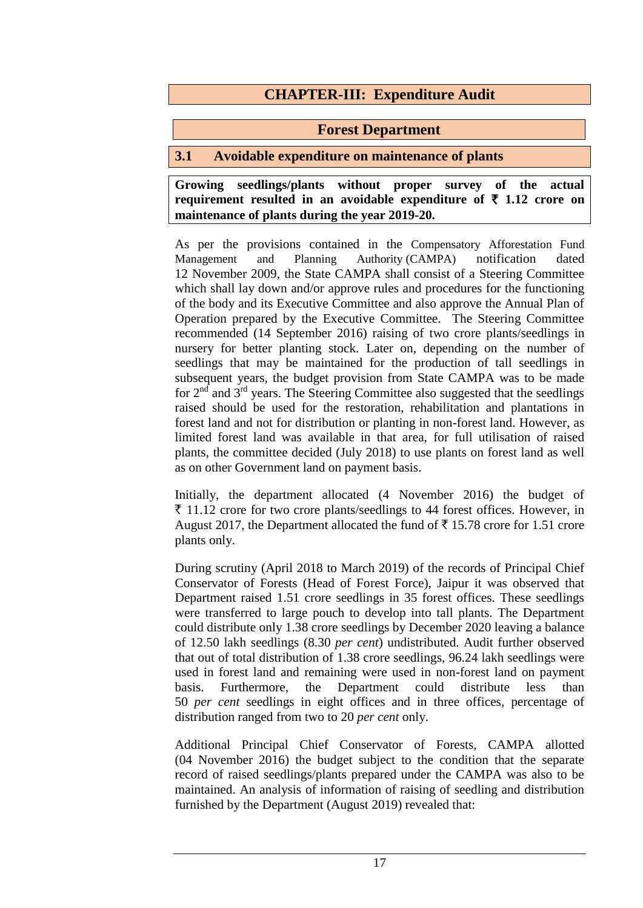# **CHAPTER-III: Expenditure Audit**

#### **Forest Department**

### **3.1 Avoidable expenditure on maintenance of plants**

**Growing seedlings/plants without proper survey of the actual requirement resulted in an avoidable expenditure of**  $\bar{\tau}$  **1.12 crore on maintenance of plants during the year 2019-20.**

As per the provisions contained in the Compensatory Afforestation Fund Management and Planning Authority (CAMPA) notification dated 12 November 2009, the State CAMPA shall consist of a Steering Committee which shall lay down and/or approve rules and procedures for the functioning of the body and its Executive Committee and also approve the Annual Plan of Operation prepared by the Executive Committee. The Steering Committee recommended (14 September 2016) raising of two crore plants/seedlings in nursery for better planting stock. Later on, depending on the number of seedlings that may be maintained for the production of tall seedlings in subsequent years, the budget provision from State CAMPA was to be made for 2nd and 3rd years. The Steering Committee also suggested that the seedlings raised should be used for the restoration, rehabilitation and plantations in forest land and not for distribution or planting in non-forest land. However, as limited forest land was available in that area, for full utilisation of raised plants, the committee decided (July 2018) to use plants on forest land as well as on other Government land on payment basis.

Initially, the department allocated (4 November 2016) the budget of  $\bar{\tau}$  11.12 crore for two crore plants/seedlings to 44 forest offices. However, in August 2017, the Department allocated the fund of  $\bar{\tau}$  15.78 crore for 1.51 crore plants only.

During scrutiny (April 2018 to March 2019) of the records of Principal Chief Conservator of Forests (Head of Forest Force), Jaipur it was observed that Department raised 1.51 crore seedlings in 35 forest offices. These seedlings were transferred to large pouch to develop into tall plants. The Department could distribute only 1.38 crore seedlings by December 2020 leaving a balance of 12.50 lakh seedlings (8.30 *per cent*) undistributed. Audit further observed that out of total distribution of 1.38 crore seedlings, 96.24 lakh seedlings were used in forest land and remaining were used in non-forest land on payment basis. Furthermore, the Department could distribute less than 50 *per cent* seedlings in eight offices and in three offices, percentage of distribution ranged from two to 20 *per cent* only.

Additional Principal Chief Conservator of Forests, CAMPA allotted (04 November 2016) the budget subject to the condition that the separate record of raised seedlings/plants prepared under the CAMPA was also to be maintained. An analysis of information of raising of seedling and distribution furnished by the Department (August 2019) revealed that: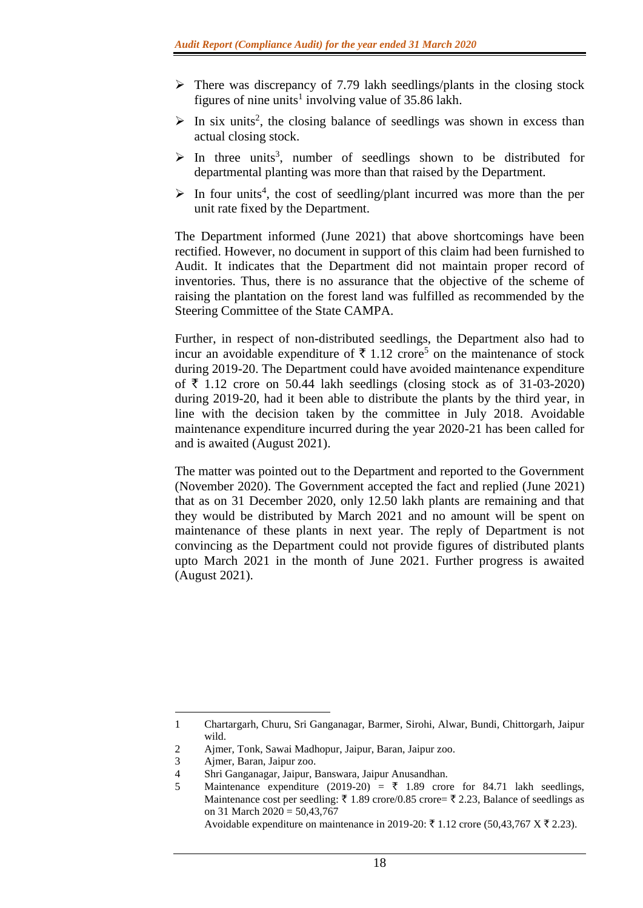- $\triangleright$  There was discrepancy of 7.79 lakh seedlings/plants in the closing stock figures of nine units<sup>1</sup> involving value of  $35.86$  lakh.
- $\triangleright$  In six units<sup>2</sup>, the closing balance of seedlings was shown in excess than actual closing stock.
- $\triangleright$  In three units<sup>3</sup>, number of seedlings shown to be distributed for departmental planting was more than that raised by the Department.
- $\triangleright$  In four units<sup>4</sup>, the cost of seedling/plant incurred was more than the per unit rate fixed by the Department.

The Department informed (June 2021) that above shortcomings have been rectified. However, no document in support of this claim had been furnished to Audit. It indicates that the Department did not maintain proper record of inventories. Thus, there is no assurance that the objective of the scheme of raising the plantation on the forest land was fulfilled as recommended by the Steering Committee of the State CAMPA.

Further, in respect of non-distributed seedlings, the Department also had to incur an avoidable expenditure of  $\bar{\tau}$  1.12 crore<sup>5</sup> on the maintenance of stock during 2019-20. The Department could have avoided maintenance expenditure of  $\bar{\tau}$  1.12 crore on 50.44 lakh seedlings (closing stock as of 31-03-2020) during 2019-20, had it been able to distribute the plants by the third year, in line with the decision taken by the committee in July 2018. Avoidable maintenance expenditure incurred during the year 2020-21 has been called for and is awaited (August 2021).

The matter was pointed out to the Department and reported to the Government (November 2020). The Government accepted the fact and replied (June 2021) that as on 31 December 2020, only 12.50 lakh plants are remaining and that they would be distributed by March 2021 and no amount will be spent on maintenance of these plants in next year. The reply of Department is not convincing as the Department could not provide figures of distributed plants upto March 2021 in the month of June 2021. Further progress is awaited (August 2021).

**.** 

<sup>1</sup> Chartargarh, Churu, Sri Ganganagar, Barmer, Sirohi, Alwar, Bundi, Chittorgarh, Jaipur wild.

<sup>2</sup> Ajmer, Tonk, Sawai Madhopur, Jaipur, Baran, Jaipur zoo.

<sup>3</sup> Ajmer, Baran, Jaipur zoo.

<sup>4</sup> Shri Ganganagar, Jaipur, Banswara, Jaipur Anusandhan.

<sup>5</sup> Maintenance expenditure (2019-20) =  $\overline{\xi}$  1.89 crore for 84.71 lakh seedlings, Maintenance cost per seedling:  $\bar{\tau}$  1.89 crore/0.85 crore=  $\bar{\tau}$  2.23, Balance of seedlings as on 31 March 2020 = 50,43,767

Avoidable expenditure on maintenance in 2019-20: ₹ 1.12 crore (50,43,767 X ₹ 2.23).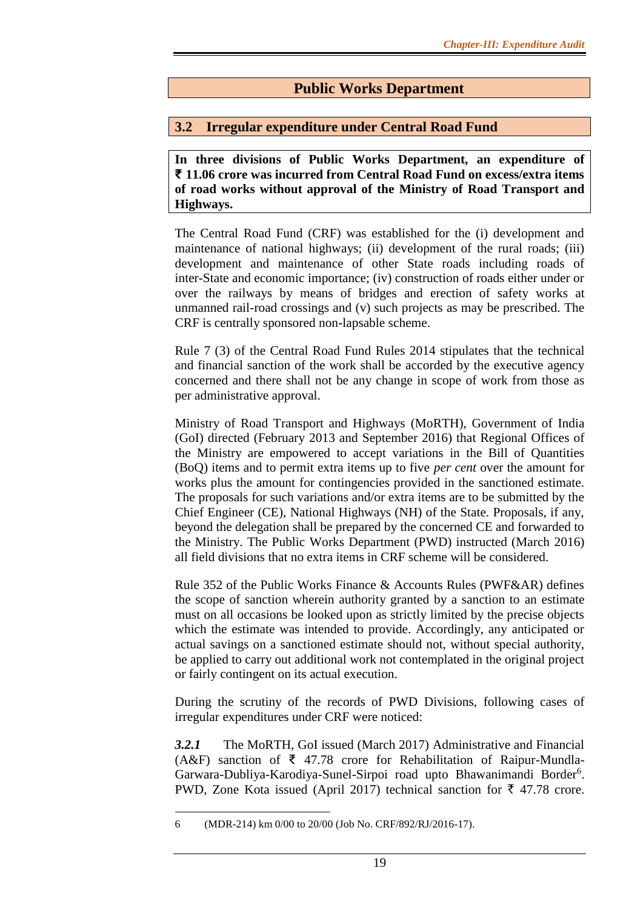# **Public Works Department**

#### **3.2 Irregular expenditure under Central Road Fund**

**In three divisions of Public Works Department, an expenditure of ₹ 11.06 crore was incurred from Central Road Fund on excess/extra items of road works without approval of the Ministry of Road Transport and Highways.**

The Central Road Fund (CRF) was established for the (i) development and maintenance of national highways; (ii) development of the rural roads; (iii) development and maintenance of other State roads including roads of inter-State and economic importance; (iv) construction of roads either under or over the railways by means of bridges and erection of safety works at unmanned rail-road crossings and (v) such projects as may be prescribed. The CRF is centrally sponsored non-lapsable scheme.

Rule 7 (3) of the Central Road Fund Rules 2014 stipulates that the technical and financial sanction of the work shall be accorded by the executive agency concerned and there shall not be any change in scope of work from those as per administrative approval.

Ministry of Road Transport and Highways (MoRTH), Government of India (GoI) directed (February 2013 and September 2016) that Regional Offices of the Ministry are empowered to accept variations in the Bill of Quantities (BoQ) items and to permit extra items up to five *per cent* over the amount for works plus the amount for contingencies provided in the sanctioned estimate. The proposals for such variations and/or extra items are to be submitted by the Chief Engineer (CE), National Highways (NH) of the State. Proposals, if any, beyond the delegation shall be prepared by the concerned CE and forwarded to the Ministry. The Public Works Department (PWD) instructed (March 2016) all field divisions that no extra items in CRF scheme will be considered.

Rule 352 of the Public Works Finance & Accounts Rules (PWF&AR) defines the scope of sanction wherein authority granted by a sanction to an estimate must on all occasions be looked upon as strictly limited by the precise objects which the estimate was intended to provide. Accordingly, any anticipated or actual savings on a sanctioned estimate should not, without special authority, be applied to carry out additional work not contemplated in the original project or fairly contingent on its actual execution.

During the scrutiny of the records of PWD Divisions, following cases of irregular expenditures under CRF were noticed:

*3.2.1* The MoRTH, GoI issued (March 2017) Administrative and Financial (A&F) sanction of ₹ 47.78 crore for Rehabilitation of Raipur-Mundla-Garwara-Dubliya-Karodiya-Sunel-Sirpoi road upto Bhawanimandi Border<sup>6</sup>. PWD, Zone Kota issued (April 2017) technical sanction for  $\bar{\tau}$  47.78 crore.

**<sup>.</sup>** 6 (MDR-214) km 0/00 to 20/00 (Job No. CRF/892/RJ/2016-17).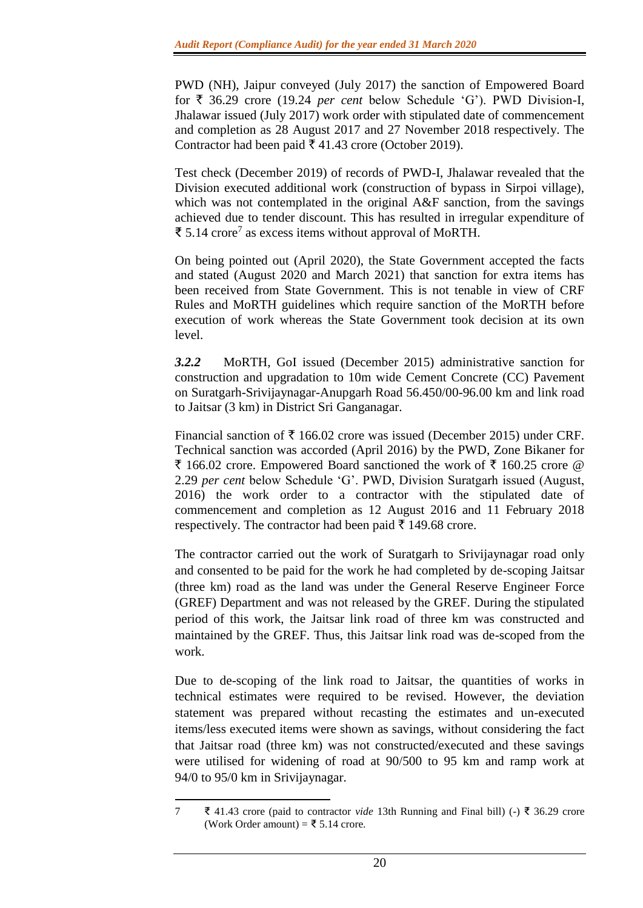PWD (NH), Jaipur conveyed (July 2017) the sanction of Empowered Board for  $\bar{\tau}$  36.29 crore (19.24 *per cent* below Schedule 'G'). PWD Division-I, Jhalawar issued (July 2017) work order with stipulated date of commencement and completion as 28 August 2017 and 27 November 2018 respectively. The Contractor had been paid  $\bar{\bar{\xi}}$  41.43 crore (October 2019).

Test check (December 2019) of records of PWD-I, Jhalawar revealed that the Division executed additional work (construction of bypass in Sirpoi village), which was not contemplated in the original A&F sanction, from the savings achieved due to tender discount. This has resulted in irregular expenditure of ₹ 5.14 crore<sup>7</sup> as excess items without approval of MoRTH.

On being pointed out (April 2020), the State Government accepted the facts and stated (August 2020 and March 2021) that sanction for extra items has been received from State Government. This is not tenable in view of CRF Rules and MoRTH guidelines which require sanction of the MoRTH before execution of work whereas the State Government took decision at its own level.

*3.2.2* MoRTH, GoI issued (December 2015) administrative sanction for construction and upgradation to 10m wide Cement Concrete (CC) Pavement on Suratgarh-Srivijaynagar-Anupgarh Road 56.450/00-96.00 km and link road to Jaitsar (3 km) in District Sri Ganganagar.

Financial sanction of  $\bar{\tau}$  166.02 crore was issued (December 2015) under CRF. Technical sanction was accorded (April 2016) by the PWD, Zone Bikaner for ₹ 166.02 crore. Empowered Board sanctioned the work of ₹ 160.25 crore @ 2.29 *per cent* below Schedule 'G'. PWD, Division Suratgarh issued (August, 2016) the work order to a contractor with the stipulated date of commencement and completion as 12 August 2016 and 11 February 2018 respectively. The contractor had been paid  $\bar{\tau}$  149.68 crore.

The contractor carried out the work of Suratgarh to Srivijaynagar road only and consented to be paid for the work he had completed by de-scoping Jaitsar (three km) road as the land was under the General Reserve Engineer Force (GREF) Department and was not released by the GREF. During the stipulated period of this work, the Jaitsar link road of three km was constructed and maintained by the GREF. Thus, this Jaitsar link road was de-scoped from the work.

Due to de-scoping of the link road to Jaitsar, the quantities of works in technical estimates were required to be revised. However, the deviation statement was prepared without recasting the estimates and un-executed items/less executed items were shown as savings, without considering the fact that Jaitsar road (three km) was not constructed/executed and these savings were utilised for widening of road at 90/500 to 95 km and ramp work at 94/0 to 95/0 km in Srivijaynagar.

**<sup>.</sup>** 7 ₹ 41.43 crore (paid to contractor *vide* 13th Running and Final bill) (-) ₹ 36.29 crore (Work Order amount) = ₹ 5.14 crore.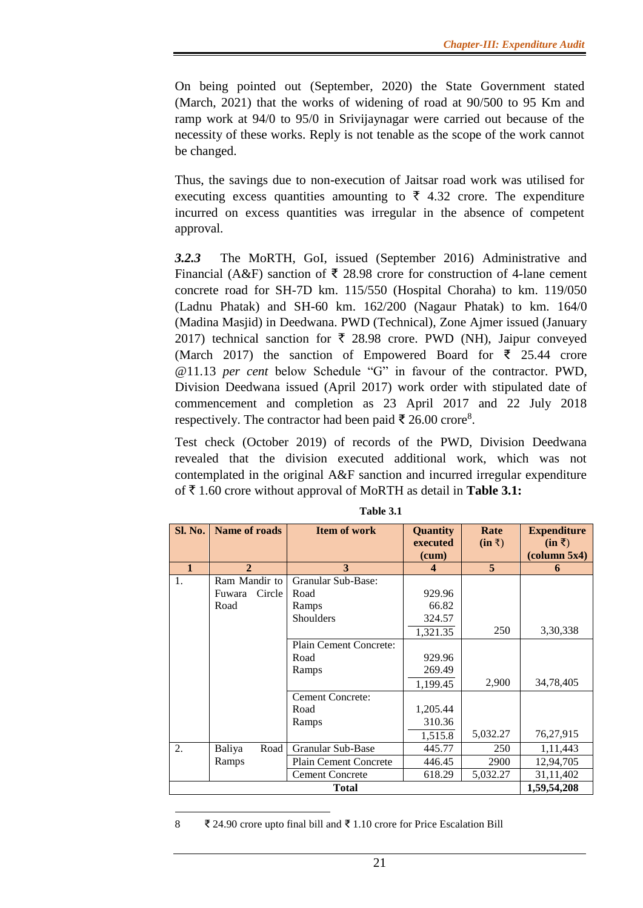On being pointed out (September, 2020) the State Government stated (March, 2021) that the works of widening of road at 90/500 to 95 Km and ramp work at 94/0 to 95/0 in Srivijaynagar were carried out because of the necessity of these works. Reply is not tenable as the scope of the work cannot be changed.

Thus, the savings due to non-execution of Jaitsar road work was utilised for executing excess quantities amounting to  $\bar{\tau}$  4.32 crore. The expenditure incurred on excess quantities was irregular in the absence of competent approval.

*3.2.3* The MoRTH, GoI, issued (September 2016) Administrative and Financial (A&F) sanction of  $\bar{\xi}$  28.98 crore for construction of 4-lane cement concrete road for SH-7D km. 115/550 (Hospital Choraha) to km. 119/050 (Ladnu Phatak) and SH-60 km. 162/200 (Nagaur Phatak) to km. 164/0 (Madina Masjid) in Deedwana. PWD (Technical), Zone Ajmer issued (January 2017) technical sanction for  $\bar{\tau}$  28.98 crore. PWD (NH), Jaipur conveyed (March 2017) the sanction of Empowered Board for  $\bar{\tau}$  25.44 crore @11.13 *per cent* below Schedule "G" in favour of the contractor. PWD, Division Deedwana issued (April 2017) work order with stipulated date of commencement and completion as 23 April 2017 and 22 July 2018 respectively. The contractor had been paid ₹ 26.00 crore<sup>8</sup>.

Test check (October 2019) of records of the PWD, Division Deedwana revealed that the division executed additional work, which was not contemplated in the original A&F sanction and incurred irregular expenditure of ` 1.60 crore without approval of MoRTH as detail in **Table 3.1:**

| Sl. No.      | <b>Name of roads</b> |        | <b>Item of work</b>          | <b>Quantity</b> | Rate           | <b>Expenditure</b>                |
|--------------|----------------------|--------|------------------------------|-----------------|----------------|-----------------------------------|
|              |                      |        |                              | executed        | $(in \bar{x})$ | $(in \bar{z})$                    |
|              |                      |        |                              | (cum)           |                | $\left(\text{column } 5x4\right)$ |
| $\mathbf{1}$ | $\overline{2}$       |        | 3                            | $\overline{4}$  | $\overline{5}$ | 6                                 |
| 1.           | Ram Mandir to        |        | Granular Sub-Base:           |                 |                |                                   |
|              | Fuwara               | Circle | Road                         | 929.96          |                |                                   |
|              | Road                 |        | Ramps                        | 66.82           |                |                                   |
|              |                      |        | Shoulders                    | 324.57          |                |                                   |
|              |                      |        |                              | 1,321.35        | 250            | 3,30,338                          |
|              |                      |        | Plain Cement Concrete:       |                 |                |                                   |
|              |                      |        | Road                         | 929.96          |                |                                   |
|              |                      |        | Ramps                        | 269.49          |                |                                   |
|              |                      |        |                              | 1,199.45        | 2,900          | 34,78,405                         |
|              |                      |        | <b>Cement Concrete:</b>      |                 |                |                                   |
|              |                      |        | Road                         | 1,205.44        |                |                                   |
|              |                      |        | Ramps                        | 310.36          |                |                                   |
|              |                      |        |                              | 1,515.8         | 5,032.27       | 76,27,915                         |
| 2.           | Baliya               | Road   | Granular Sub-Base            | 445.77          | 250            | 1, 11, 443                        |
|              | Ramps                |        | <b>Plain Cement Concrete</b> | 446.45          | 2900           | 12,94,705                         |
|              |                      |        | <b>Cement Concrete</b>       | 618.29          | 5,032.27       | 31,11,402                         |
| Total        |                      |        |                              |                 |                | 1,59,54,208                       |

**Table 3.1**

**.** 8 ₹ 24.90 crore upto final bill and ₹ 1.10 crore for Price Escalation Bill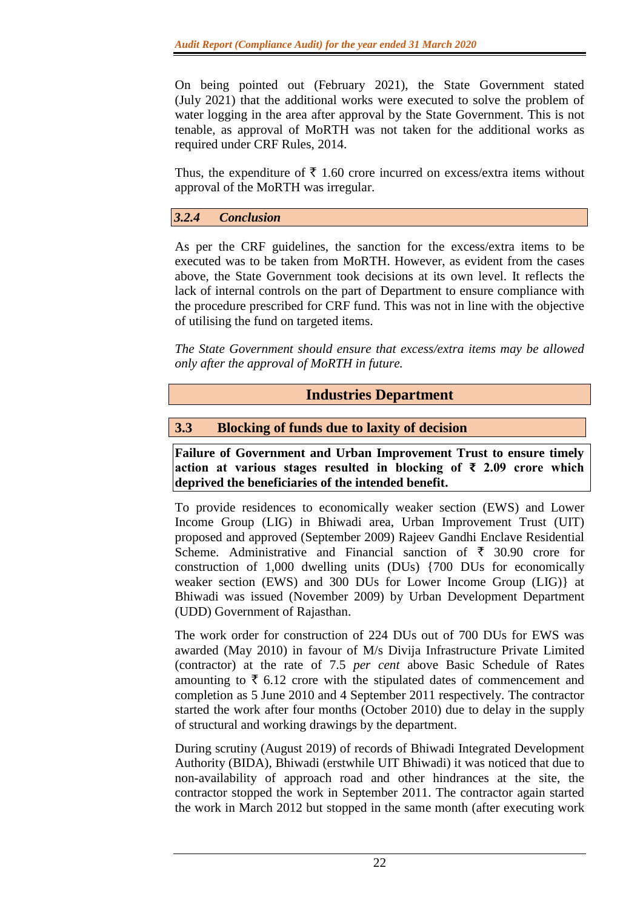On being pointed out (February 2021), the State Government stated (July 2021) that the additional works were executed to solve the problem of water logging in the area after approval by the State Government. This is not tenable, as approval of MoRTH was not taken for the additional works as required under CRF Rules, 2014.

Thus, the expenditure of  $\bar{\tau}$  1.60 crore incurred on excess/extra items without approval of the MoRTH was irregular.

*3.2.4 Conclusion*

As per the CRF guidelines, the sanction for the excess/extra items to be executed was to be taken from MoRTH. However, as evident from the cases above, the State Government took decisions at its own level. It reflects the lack of internal controls on the part of Department to ensure compliance with the procedure prescribed for CRF fund. This was not in line with the objective of utilising the fund on targeted items.

*The State Government should ensure that excess/extra items may be allowed only after the approval of MoRTH in future.* 

**Industries Department**

### **3.3 Blocking of funds due to laxity of decision**

**Failure of Government and Urban Improvement Trust to ensure timely action at various stages resulted in blocking of ₹ 2.09 crore which deprived the beneficiaries of the intended benefit.**

To provide residences to economically weaker section (EWS) and Lower Income Group (LIG) in Bhiwadi area, Urban Improvement Trust (UIT) proposed and approved (September 2009) Rajeev Gandhi Enclave Residential Scheme. Administrative and Financial sanction of  $\bar{\tau}$  30.90 crore for construction of 1,000 dwelling units (DUs) {700 DUs for economically weaker section (EWS) and 300 DUs for Lower Income Group (LIG)} at Bhiwadi was issued (November 2009) by Urban Development Department (UDD) Government of Rajasthan.

The work order for construction of 224 DUs out of 700 DUs for EWS was awarded (May 2010) in favour of M/s Divija Infrastructure Private Limited (contractor) at the rate of 7.5 *per cent* above Basic Schedule of Rates amounting to  $\bar{\tau}$  6.12 crore with the stipulated dates of commencement and completion as 5 June 2010 and 4 September 2011 respectively. The contractor started the work after four months (October 2010) due to delay in the supply of structural and working drawings by the department.

During scrutiny (August 2019) of records of Bhiwadi Integrated Development Authority (BIDA), Bhiwadi (erstwhile UIT Bhiwadi) it was noticed that due to non-availability of approach road and other hindrances at the site, the contractor stopped the work in September 2011. The contractor again started the work in March 2012 but stopped in the same month (after executing work